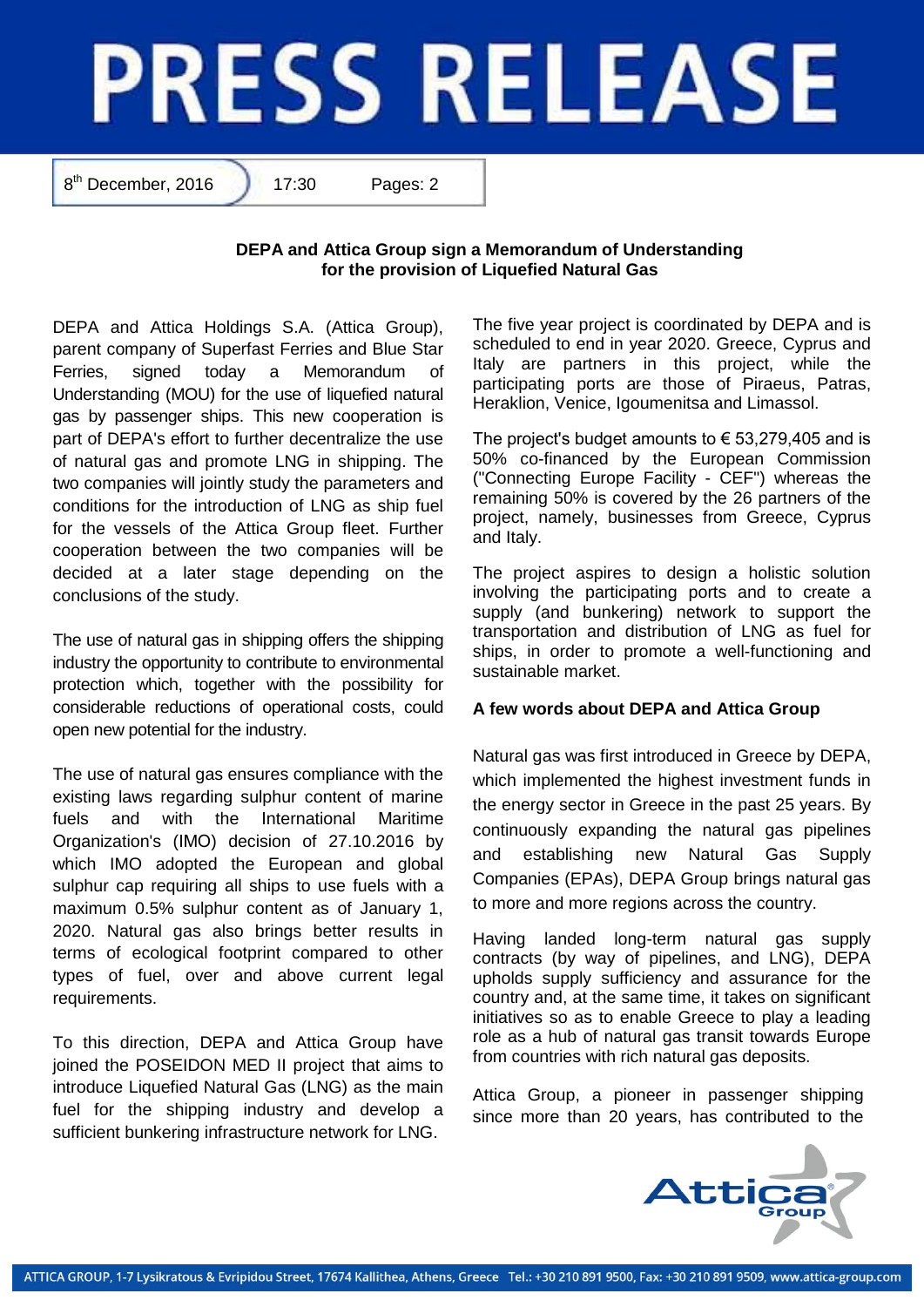## **PRESS RELEASE**

8<sup>th</sup> December, 2016 17:30 Pages: 2

## **DEPA and Attica Group sign a Memorandum of Understanding for the provision of Liquefied Natural Gas**

DEPA and Attica Holdings S.A. (Attica Group), parent company of Superfast Ferries and Blue Star Ferries, signed today a Memorandum of Understanding (MOU) for the use of liquefied natural gas by passenger ships. This new cooperation is part of DEPA's effort to further decentralize the use of natural gas and promote LNG in shipping. The two companies will jointly study the parameters and conditions for the introduction of LNG as ship fuel for the vessels of the Attica Group fleet. Further cooperation between the two companies will be decided at a later stage depending on the conclusions of the study.

The use of natural gas in shipping offers the shipping industry the opportunity to contribute to environmental protection which, together with the possibility for considerable reductions of operational costs, could open new potential for the industry.

The use of natural gas ensures compliance with the existing laws regarding sulphur content of marine fuels and with the Ιnternational Μaritime Οrganization's (ΙΜΟ) decision of 27.10.2016 by which IMO adopted the European and global sulphur cap requiring all ships to use fuels with a maximum 0.5% sulphur content as of January 1, 2020. Natural gas also brings better results in terms of ecological footprint compared to other types of fuel, over and above current legal requirements.

To this direction, DEPA and Attica Group have joined the POSEIDON MED II project that aims to introduce Liquefied Natural Gas (LNG) as the main fuel for the shipping industry and develop a sufficient bunkering infrastructure network for LNG.

The five year project is coordinated by DEPA and is scheduled to end in year 2020. Greece, Cyprus and Italy are partners in this project, while the participating ports are those of Piraeus, Patras, Heraklion, Venice, Igoumenitsa and Limassol.

The project's budget amounts to  $\epsilon$  53,279,405 and is 50% co-financed by the European Commission ("Connecting Europe Facility - CEF") whereas the remaining 50% is covered by the 26 partners of the project, namely, businesses from Greece, Cyprus and Italy.

The project aspires to design a holistic solution involving the participating ports and to create a supply (and bunkering) network to support the transportation and distribution of LNG as fuel for ships, in order to promote a well-functioning and sustainable market.

## **A few words about DEPA and Attica Group**

Natural gas was first introduced in Greece by DEPA, which implemented the highest investment funds in the energy sector in Greece in the past 25 years. By continuously expanding the natural gas pipelines and establishing new Natural Gas Supply Companies (EPAs), DEPA Group brings natural gas to more and more regions across the country.

Having landed long-term natural gas supply contracts (by way of pipelines, and LNG), DEPA upholds supply sufficiency and assurance for the country and, at the same time, it takes on significant initiatives so as to enable Greece to play a leading role as a hub of natural gas transit towards Europe from countries with rich natural gas deposits.

Attica Group, a pioneer in passenger shipping since more than 20 years, has contributed to the